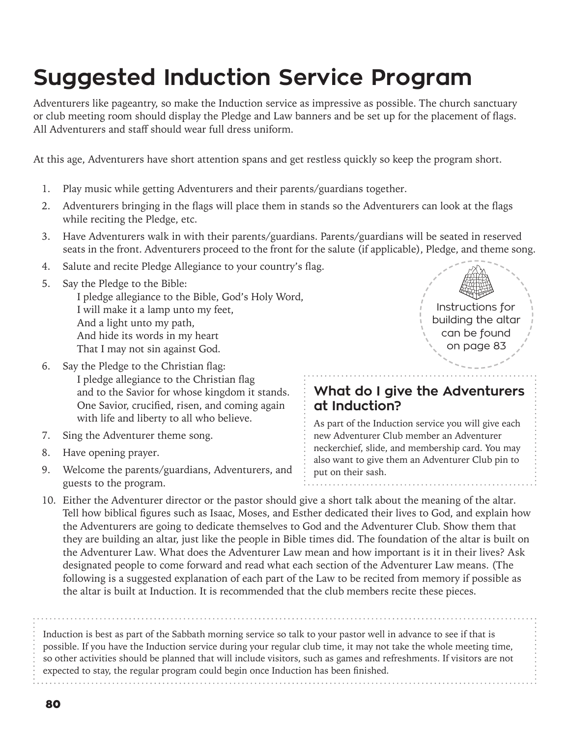## **Suggested Induction Service Program**

Adventurers like pageantry, so make the Induction service as impressive as possible. The church sanctuary or club meeting room should display the Pledge and Law banners and be set up for the placement of flags. All Adventurers and staff should wear full dress uniform.

At this age, Adventurers have short attention spans and get restless quickly so keep the program short.

- 1. Play music while getting Adventurers and their parents/guardians together.
- 2. Adventurers bringing in the flags will place them in stands so the Adventurers can look at the flags while reciting the Pledge, etc.
- 3. Have Adventurers walk in with their parents/guardians. Parents/guardians will be seated in reserved seats in the front. Adventurers proceed to the front for the salute (if applicable), Pledge, and theme song.
- 4. Salute and recite Pledge Allegiance to your country's flag.
- 5. Say the Pledge to the Bible: I pledge allegiance to the Bible, God's Holy Word, I will make it a lamp unto my feet, And a light unto my path, And hide its words in my heart That I may not sin against God.
- 6. Say the Pledge to the Christian flag: I pledge allegiance to the Christian flag and to the Savior for whose kingdom it stands. One Savior, crucified, risen, and coming again with life and liberty to all who believe.
- 7. Sing the Adventurer theme song.
- 8. Have opening prayer.
- 9. Welcome the parents/guardians, Adventurers, and guests to the program.



## **What do I give the Adventurers at Induction?**

As part of the Induction service you will give each new Adventurer Club member an Adventurer neckerchief, slide, and membership card. You may also want to give them an Adventurer Club pin to put on their sash.

10. Either the Adventurer director or the pastor should give a short talk about the meaning of the altar. Tell how biblical figures such as Isaac, Moses, and Esther dedicated their lives to God, and explain how the Adventurers are going to dedicate themselves to God and the Adventurer Club. Show them that they are building an altar, just like the people in Bible times did. The foundation of the altar is built on the Adventurer Law. What does the Adventurer Law mean and how important is it in their lives? Ask designated people to come forward and read what each section of the Adventurer Law means. (The following is a suggested explanation of each part of the Law to be recited from memory if possible as the altar is built at Induction. It is recommended that the club members recite these pieces.

Induction is best as part of the Sabbath morning service so talk to your pastor well in advance to see if that is possible. If you have the Induction service during your regular club time, it may not take the whole meeting time, so other activities should be planned that will include visitors, such as games and refreshments. If visitors are not expected to stay, the regular program could begin once Induction has been finished.